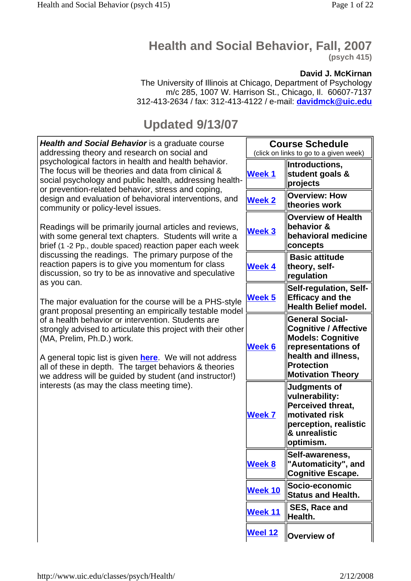# **Health and Social Behavior, Fall, 2007**

**(psych 415)**

## **David J. McKirnan**

The University of Illinois at Chicago, Department of Psychology m/c 285, 1007 W. Harrison St., Chicago, Il. 60607-7137 312-413-2634 / fax: 312-413-4122 / e-mail: **davidmck@uic.edu**

## **Updated 9/13/07**

| Health and Social Behavior is a graduate course<br>addressing theory and research on social and<br>psychological factors in health and health behavior.<br>The focus will be theories and data from clinical &<br>social psychology and public health, addressing health-<br>or prevention-related behavior, stress and coping,<br>design and evaluation of behavioral interventions, and<br>community or policy-level issues.<br>Readings will be primarily journal articles and reviews,<br>with some general text chapters. Students will write a<br>brief (1 -2 Pp., double spaced) reaction paper each week<br>discussing the readings. The primary purpose of the<br>reaction papers is to give you momentum for class<br>discussion, so try to be as innovative and speculative<br>as you can.<br>The major evaluation for the course will be a PHS-style<br>grant proposal presenting an empirically testable model<br>of a health behavior or intervention. Students are<br>strongly advised to articulate this project with their other<br>(MA, Prelim, Ph.D.) work.<br>A general topic list is given <b>here</b> . We will not address<br>all of these in depth. The target behaviors & theories<br>we address will be guided by student (and instructor!)<br>interests (as may the class meeting time). | <b>Course Schedule</b><br>(click on links to go to a given week) |                                                                                                                                                                                  |
|---------------------------------------------------------------------------------------------------------------------------------------------------------------------------------------------------------------------------------------------------------------------------------------------------------------------------------------------------------------------------------------------------------------------------------------------------------------------------------------------------------------------------------------------------------------------------------------------------------------------------------------------------------------------------------------------------------------------------------------------------------------------------------------------------------------------------------------------------------------------------------------------------------------------------------------------------------------------------------------------------------------------------------------------------------------------------------------------------------------------------------------------------------------------------------------------------------------------------------------------------------------------------------------------------------------------|------------------------------------------------------------------|----------------------------------------------------------------------------------------------------------------------------------------------------------------------------------|
|                                                                                                                                                                                                                                                                                                                                                                                                                                                                                                                                                                                                                                                                                                                                                                                                                                                                                                                                                                                                                                                                                                                                                                                                                                                                                                                     | <b>Week 1</b>                                                    | Introductions,<br>student goals &<br>projects                                                                                                                                    |
|                                                                                                                                                                                                                                                                                                                                                                                                                                                                                                                                                                                                                                                                                                                                                                                                                                                                                                                                                                                                                                                                                                                                                                                                                                                                                                                     | <b>Week 2</b>                                                    | <b>Overview: How</b><br>theories work                                                                                                                                            |
|                                                                                                                                                                                                                                                                                                                                                                                                                                                                                                                                                                                                                                                                                                                                                                                                                                                                                                                                                                                                                                                                                                                                                                                                                                                                                                                     | <b>Week 3</b>                                                    | <b>Overview of Health</b><br>behavior &<br>behavioral medicine<br>concepts                                                                                                       |
|                                                                                                                                                                                                                                                                                                                                                                                                                                                                                                                                                                                                                                                                                                                                                                                                                                                                                                                                                                                                                                                                                                                                                                                                                                                                                                                     | <b>Week 4</b>                                                    | <b>Basic attitude</b><br>theory, self-<br>regulation                                                                                                                             |
|                                                                                                                                                                                                                                                                                                                                                                                                                                                                                                                                                                                                                                                                                                                                                                                                                                                                                                                                                                                                                                                                                                                                                                                                                                                                                                                     | <b>Week 5</b>                                                    | Self-regulation, Self-<br><b>Efficacy and the</b><br><b>Health Belief model.</b>                                                                                                 |
|                                                                                                                                                                                                                                                                                                                                                                                                                                                                                                                                                                                                                                                                                                                                                                                                                                                                                                                                                                                                                                                                                                                                                                                                                                                                                                                     | <b>Week 6</b>                                                    | <b>General Social-</b><br><b>Cognitive / Affective</b><br><b>Models: Cognitive</b><br>representations of<br>health and illness,<br><b>Protection</b><br><b>Motivation Theory</b> |
|                                                                                                                                                                                                                                                                                                                                                                                                                                                                                                                                                                                                                                                                                                                                                                                                                                                                                                                                                                                                                                                                                                                                                                                                                                                                                                                     | <b>Week 7</b>                                                    | Judgments of<br>vulnerability:<br>Perceived threat,<br>$ $ motivated risk<br>perception, realistic<br>& unrealistic<br>optimism.                                                 |
|                                                                                                                                                                                                                                                                                                                                                                                                                                                                                                                                                                                                                                                                                                                                                                                                                                                                                                                                                                                                                                                                                                                                                                                                                                                                                                                     | <b>Week 8</b>                                                    | Self-awareness,<br>"Automaticity", and<br><b>Cognitive Escape.</b>                                                                                                               |
|                                                                                                                                                                                                                                                                                                                                                                                                                                                                                                                                                                                                                                                                                                                                                                                                                                                                                                                                                                                                                                                                                                                                                                                                                                                                                                                     | <b>Week 10</b>                                                   | Socio-economic<br><b>Status and Health.</b>                                                                                                                                      |
|                                                                                                                                                                                                                                                                                                                                                                                                                                                                                                                                                                                                                                                                                                                                                                                                                                                                                                                                                                                                                                                                                                                                                                                                                                                                                                                     | Week 11                                                          | SES, Race and<br>Health.                                                                                                                                                         |
|                                                                                                                                                                                                                                                                                                                                                                                                                                                                                                                                                                                                                                                                                                                                                                                                                                                                                                                                                                                                                                                                                                                                                                                                                                                                                                                     | <b>Weel 12</b>                                                   | Overview of                                                                                                                                                                      |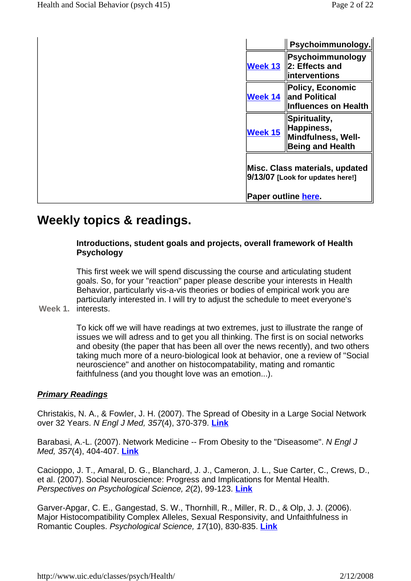|                                                                    | Psychoimmunology.                                                            |  |
|--------------------------------------------------------------------|------------------------------------------------------------------------------|--|
| Week 13                                                            | Psychoimmunology<br>2: Effects and<br>interventions                          |  |
| Week 14                                                            | <b>Policy, Economic</b><br>and Political<br><b>Influences on Health</b>      |  |
| Week 15                                                            | Spirituality,<br>Happiness,<br>Mindfulness, Well-<br><b>Being and Health</b> |  |
| Misc. Class materials, updated<br>9/13/07 [Look for updates here!] |                                                                              |  |
| Paper outline here.                                                |                                                                              |  |

## **Weekly topics & readings.**

## **Introductions, student goals and projects, overall framework of Health Psychology**

This first week we will spend discussing the course and articulating student goals. So, for your "reaction" paper please describe your interests in Health Behavior, particularly vis-a-vis theories or bodies of empirical work you are particularly interested in. I will try to adjust the schedule to meet everyone's

## **Week 1.** interests.

To kick off we will have readings at two extremes, just to illustrate the range of issues we will adress and to get you all thinking. The first is on social networks and obesity (the paper that has been all over the news recently), and two others taking much more of a neuro-biological look at behavior, one a review of "Social neuroscience" and another on histocompatability, mating and romantic faithfulness (and you thought love was an emotion...).

## **Primary Readings**

Christakis, N. A., & Fowler, J. H. (2007). The Spread of Obesity in a Large Social Network over 32 Years. N Engl J Med, 357(4), 370-379. **Link**

Barabasi, A.-L. (2007). Network Medicine -- From Obesity to the "Diseasome". N Engl J Med, 357(4), 404-407. **Link**

Cacioppo, J. T., Amaral, D. G., Blanchard, J. J., Cameron, J. L., Sue Carter, C., Crews, D., et al. (2007). Social Neuroscience: Progress and Implications for Mental Health. Perspectives on Psychological Science, 2(2), 99-123. **Link**

Garver-Apgar, C. E., Gangestad, S. W., Thornhill, R., Miller, R. D., & Olp, J. J. (2006). Major Histocompatibility Complex Alleles, Sexual Responsivity, and Unfaithfulness in Romantic Couples. Psychological Science, 17(10), 830-835. **Link**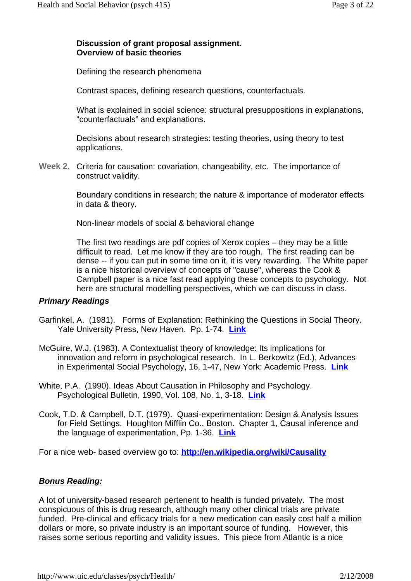#### **Discussion of grant proposal assignment. Overview of basic theories**

Defining the research phenomena

Contrast spaces, defining research questions, counterfactuals.

What is explained in social science: structural presuppositions in explanations, "counterfactuals" and explanations.

Decisions about research strategies: testing theories, using theory to test applications.

Week 2. Criteria for causation: covariation, changeability, etc. The importance of construct validity.

> Boundary conditions in research; the nature & importance of moderator effects in data & theory.

Non-linear models of social & behavioral change

The first two readings are pdf copies of Xerox copies – they may be a little difficult to read. Let me know if they are too rough. The first reading can be dense -- if you can put in some time on it, it is very rewarding. The White paper is a nice historical overview of concepts of "cause", whereas the Cook & Campbell paper is a nice fast read applying these concepts to psychology. Not here are structural modelling perspectives, which we can discuss in class.

#### **Primary Readings**

- Garfinkel, A. (1981). Forms of Explanation: Rethinking the Questions in Social Theory. Yale University Press, New Haven. Pp. 1-74. **Link**
- McGuire, W.J. (1983). A Contextualist theory of knowledge: Its implications for innovation and reform in psychological research. In L. Berkowitz (Ed.), Advances in Experimental Social Psychology, 16, 1-47, New York: Academic Press. **Link**
- White, P.A. (1990). Ideas About Causation in Philosophy and Psychology. Psychological Bulletin, 1990, Vol. 108, No. 1, 3-18. **Link**
- Cook, T.D. & Campbell, D.T. (1979). Quasi-experimentation: Design & Analysis Issues for Field Settings. Houghton Mifflin Co., Boston. Chapter 1, Causal inference and the language of experimentation, Pp. 1-36. **Link**

For a nice web- based overview go to: **http://en.wikipedia.org/wiki/Causality**

#### **Bonus Reading:**

A lot of university-based research pertenent to health is funded privately. The most conspicuous of this is drug research, although many other clinical trials are private funded. Pre-clinical and efficacy trials for a new medication can easily cost half a million dollars or more, so private industry is an important source of funding. However, this raises some serious reporting and validity issues. This piece from Atlantic is a nice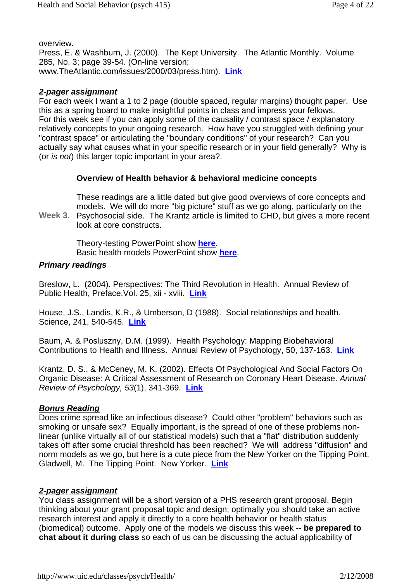overview.

Press, E. & Washburn, J. (2000). The Kept University. The Atlantic Monthly. Volume 285, No. 3; page 39-54. (On-line version; www.TheAtlantic.com/issues/2000/03/press.htm). **Link**

#### **2-pager assignment**

For each week I want a 1 to 2 page (double spaced, regular margins) thought paper. Use this as a spring board to make insightful points in class and impress your fellows. For this week see if you can apply some of the causality / contrast space / explanatory relatively concepts to your ongoing research. How have you struggled with defining your "contrast space" or articulating the "boundary conditions" of your research? Can you actually say what causes what in your specific research or in your field generally? Why is (or is not) this larger topic important in your area?.

## **Overview of Health behavior & behavioral medicine concepts**

These readings are a little dated but give good overviews of core concepts and models. We will do more "big picture" stuff as we go along, particularly on the

**Week 3.**  Psychosocial side. The Krantz article is limited to CHD, but gives a more recent look at core constructs.

> Theory-testing PowerPoint show **here**. Basic health models PowerPoint show **here**.

#### **Primary readings**

Breslow, L. (2004). Perspectives: The Third Revolution in Health. Annual Review of Public Health, Preface,Vol. 25, xii - xviii. **Link**

House, J.S., Landis, K.R., & Umberson, D (1988). Social relationships and health. Science, 241, 540-545. **Link**

Baum, A. & Posluszny, D.M. (1999). Health Psychology: Mapping Biobehavioral Contributions to Health and Illness. Annual Review of Psychology, 50, 137-163. **Link**

Krantz, D. S., & McCeney, M. K. (2002). Effects Of Psychological And Social Factors On Organic Disease: A Critical Assessment of Research on Coronary Heart Disease. Annual Review of Psychology, 53(1), 341-369. **Link**

## **Bonus Reading**

Does crime spread like an infectious disease? Could other "problem" behaviors such as smoking or unsafe sex? Equally important, is the spread of one of these problems nonlinear (unlike virtually all of our statistical models) such that a "flat" distribution suddenly takes off after some crucial threshold has been reached? We will address "diffusion" and norm models as we go, but here is a cute piece from the New Yorker on the Tipping Point. Gladwell, M. The Tipping Point. New Yorker. **Link**

## **2-pager assignment**

You class assignment will be a short version of a PHS research grant proposal. Begin thinking about your grant proposal topic and design; optimally you should take an active research interest and apply it directly to a core health behavior or health status (biomedical) outcome. Apply one of the models we discuss this week -- **be prepared to chat about it during class** so each of us can be discussing the actual applicability of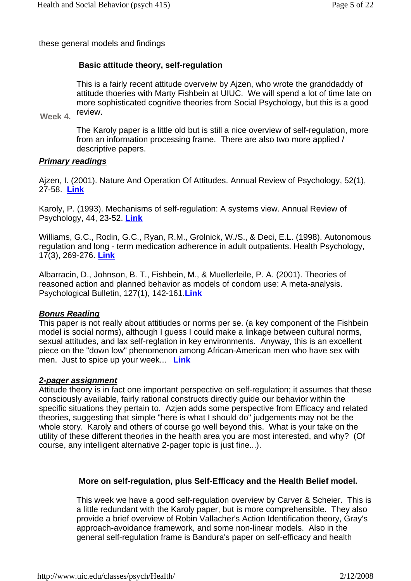these general models and findings

## **Basic attitude theory, self-regulation**

This is a fairly recent attitude overveiw by Ajzen, who wrote the granddaddy of attitude thoeries with Marty Fishbein at UIUC. We will spend a lot of time late on more sophisticated cognitive theories from Social Psychology, but this is a good review.

**Week 4.**

The Karoly paper is a little old but is still a nice overview of self-regulation, more from an information processing frame. There are also two more applied / descriptive papers.

#### **Primary readings**

Ajzen, I. (2001). Nature And Operation Of Attitudes. Annual Review of Psychology, 52(1), 27-58. **Link**

Karoly, P. (1993). Mechanisms of self-regulation: A systems view. Annual Review of Psychology, 44, 23-52. **Link**

Williams, G.C., Rodin, G.C., Ryan, R.M., Grolnick, W./S., & Deci, E.L. (1998). Autonomous regulation and long - term medication adherence in adult outpatients. Health Psychology, 17(3), 269-276. **Link**

Albarracin, D., Johnson, B. T., Fishbein, M., & Muellerleile, P. A. (2001). Theories of reasoned action and planned behavior as models of condom use: A meta-analysis. Psychological Bulletin, 127(1), 142-161.**Link**

#### **Bonus Reading**

This paper is not really about attitiudes or norms per se. (a key component of the Fishbein model is social norms), although I guess I could make a linkage between cultural norms, sexual attitudes, and lax self-reglation in key environments. Anyway, this is an excellent piece on the "down low" phenomenon among African-American men who have sex with men. Just to spice up your week... **Link**

#### **2-pager assignment**

Attitude theory is in fact one important perspective on self-regulation; it assumes that these consciously available, fairly rational constructs directly guide our behavior within the specific situations they pertain to. Azjen adds some perspective from Efficacy and related theories, suggesting that simple "here is what I should do" judgements may not be the whole story. Karoly and others of course go well beyond this. What is your take on the utility of these different theories in the health area you are most interested, and why? (Of course, any intelligent alternative 2-pager topic is just fine...).

#### **More on self-regulation, plus Self-Efficacy and the Health Belief model.**

This week we have a good self-regulation overview by Carver & Scheier. This is a little redundant with the Karoly paper, but is more comprehensible. They also provide a brief overview of Robin Vallacher's Action Identification theory, Gray's approach-avoidance framework, and some non-linear models. Also in the general self-regulation frame is Bandura's paper on self-efficacy and health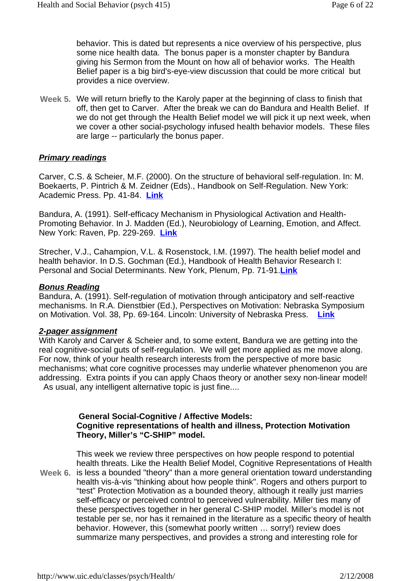behavior. This is dated but represents a nice overview of his perspective, plus some nice health data. The bonus paper is a monster chapter by Bandura giving his Sermon from the Mount on how all of behavior works. The Health Belief paper is a big bird's-eye-view discussion that could be more critical but provides a nice overview.

Week 5. We will return briefly to the Karoly paper at the beginning of class to finish that off, then get to Carver. After the break we can do Bandura and Health Belief. If we do not get through the Health Belief model we will pick it up next week, when we cover a other social-psychology infused health behavior models. These files are large -- particularly the bonus paper.

## **Primary readings**

Carver, C.S. & Scheier, M.F. (2000). On the structure of behavioral self-regulation. In: M. Boekaerts, P. Pintrich & M. Zeidner (Eds)., Handbook on Self-Regulation. New York: Academic Press. Pp. 41-84. **Link**

Bandura, A. (1991). Self-efficacy Mechanism in Physiological Activation and Health-Promoting Behavior. In J. Madden (Ed.), Neurobiology of Learning, Emotion, and Affect. New York: Raven, Pp. 229-269. **Link**

Strecher, V.J., Cahampion, V.L. & Rosenstock, I.M. (1997). The health belief model and health behavior. In D.S. Gochman (Ed.), Handbook of Health Behavior Research I: Personal and Social Determinants. New York, Plenum, Pp. 71-91.**Link**

#### **Bonus Reading**

Bandura, A. (1991). Self-regulation of motivation through anticipatory and self-reactive mechanisms. In R.A. Dienstbier (Ed.), Perspectives on Motivation: Nebraska Symposium on Motivation. Vol. 38, Pp. 69-164. Lincoln: University of Nebraska Press. **Link**

#### **2-pager assignment**

With Karoly and Carver & Scheier and, to some extent, Bandura we are getting into the real cognitive-social guts of self-regulation. We will get more applied as me move along. For now, think of your health research interests from the perspective of more basic mechanisms; what core cognitive processes may underlie whatever phenomenon you are addressing. Extra points if you can apply Chaos theory or another sexy non-linear model! As usual, any intelligent alternative topic is just fine....

#### **General Social-Cognitive / Affective Models: Cognitive representations of health and illness, Protection Motivation Theory, Miller's "C-SHIP" model.**

**Week 6.**  This week we review three perspectives on how people respond to potential health threats. Like the Health Belief Model, Cognitive Representations of Health is less a bounded "theory" than a more general orientation toward understanding health vis-à-vis "thinking about how people think". Rogers and others purport to "test" Protection Motivation as a bounded theory, although it really just marries self-efficacy or perceived control to perceived vulnerability. Miller ties many of these perspectives together in her general C-SHIP model. Miller's model is not testable per se, nor has it remained in the literature as a specific theory of health behavior. However, this (somewhat poorly written … sorry!) review does summarize many perspectives, and provides a strong and interesting role for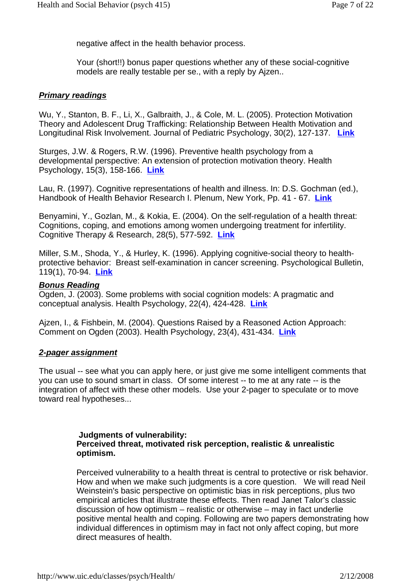negative affect in the health behavior process.

Your (short!!) bonus paper questions whether any of these social-cognitive models are really testable per se., with a reply by Ajzen..

#### **Primary readings**

Wu, Y., Stanton, B. F., Li, X., Galbraith, J., & Cole, M. L. (2005). Protection Motivation Theory and Adolescent Drug Trafficking: Relationship Between Health Motivation and Longitudinal Risk Involvement. Journal of Pediatric Psychology, 30(2), 127-137. **Link**

Sturges, J.W. & Rogers, R.W. (1996). Preventive health psychology from a developmental perspective: An extension of protection motivation theory. Health Psychology, 15(3), 158-166. **Link**

Lau, R. (1997). Cognitive representations of health and illness. In: D.S. Gochman (ed.), Handbook of Health Behavior Research I. Plenum, New York, Pp. 41 - 67. **Link**

Benyamini, Y., Gozlan, M., & Kokia, E. (2004). On the self-regulation of a health threat: Cognitions, coping, and emotions among women undergoing treatment for infertility. Cognitive Therapy & Research, 28(5), 577-592. **Link**

Miller, S.M., Shoda, Y., & Hurley, K. (1996). Applying cognitive-social theory to healthprotective behavior: Breast self-examination in cancer screening. Psychological Bulletin, 119(1), 70-94. **Link**

#### **Bonus Reading**

Ogden, J. (2003). Some problems with social cognition models: A pragmatic and conceptual analysis. Health Psychology, 22(4), 424-428. **Link**

Ajzen, I., & Fishbein, M. (2004). Questions Raised by a Reasoned Action Approach: Comment on Ogden (2003). Health Psychology, 23(4), 431-434. **Link**

#### **2-pager assignment**

The usual -- see what you can apply here, or just give me some intelligent comments that you can use to sound smart in class. Of some interest -- to me at any rate -- is the integration of affect with these other models. Use your 2-pager to speculate or to move toward real hypotheses...

#### **Judgments of vulnerability: Perceived threat, motivated risk perception, realistic & unrealistic optimism.**

Perceived vulnerability to a health threat is central to protective or risk behavior. How and when we make such judgments is a core question. We will read Neil Weinstein's basic perspective on optimistic bias in risk perceptions, plus two empirical articles that illustrate these effects. Then read Janet Talor's classic discussion of how optimism – realistic or otherwise – may in fact underlie positive mental health and coping. Following are two papers demonstrating how individual differences in optimism may in fact not only affect coping, but more direct measures of health.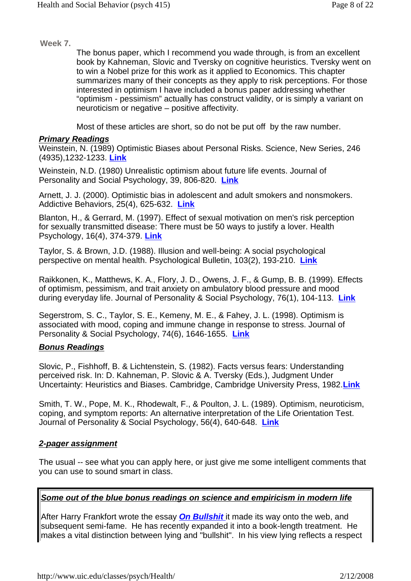**Week 7.** 

The bonus paper, which I recommend you wade through, is from an excellent book by Kahneman, Slovic and Tversky on cognitive heuristics. Tversky went on to win a Nobel prize for this work as it applied to Economics. This chapter summarizes many of their concepts as they apply to risk perceptions. For those interested in optimism I have included a bonus paper addressing whether "optimism - pessimism" actually has construct validity, or is simply a variant on neuroticism or negative – positive affectivity.

Most of these articles are short, so do not be put off by the raw number.

#### **Primary Readings**

Weinstein, N. (1989) Optimistic Biases about Personal Risks. Science, New Series, 246 (4935),1232-1233. **Link**

Weinstein, N.D. (1980) Unrealistic optimism about future life events. Journal of Personality and Social Psychology, 39, 806-820. **Link**

Arnett, J. J. (2000). Optimistic bias in adolescent and adult smokers and nonsmokers. Addictive Behaviors, 25(4), 625-632. **Link**

Blanton, H., & Gerrard, M. (1997). Effect of sexual motivation on men's risk perception for sexually transmitted disease: There must be 50 ways to justify a lover. Health Psychology, 16(4), 374-379. **Link**

Taylor, S. & Brown, J.D. (1988). Illusion and well-being: A social psychological perspective on mental health. Psychological Bulletin, 103(2), 193-210. **Link**

Raikkonen, K., Matthews, K. A., Flory, J. D., Owens, J. F., & Gump, B. B. (1999). Effects of optimism, pessimism, and trait anxiety on ambulatory blood pressure and mood during everyday life. Journal of Personality & Social Psychology, 76(1), 104-113. **Link**

Segerstrom, S. C., Taylor, S. E., Kemeny, M. E., & Fahey, J. L. (1998). Optimism is associated with mood, coping and immune change in response to stress. Journal of Personality & Social Psychology, 74(6), 1646-1655. **Link**

## **Bonus Readings**

Slovic, P., Fishhoff, B. & Lichtenstein, S. (1982). Facts versus fears: Understanding perceived risk. In: D. Kahneman, P. Slovic & A. Tversky (Eds.), Judgment Under Uncertainty: Heuristics and Biases. Cambridge, Cambridge University Press, 1982.**Link**

Smith, T. W., Pope, M. K., Rhodewalt, F., & Poulton, J. L. (1989). Optimism, neuroticism, coping, and symptom reports: An alternative interpretation of the Life Orientation Test. Journal of Personality & Social Psychology, 56(4), 640-648. **Link**

## **2-pager assignment**

The usual -- see what you can apply here, or just give me some intelligent comments that you can use to sound smart in class.

## **Some out of the blue bonus readings on science and empiricism in modern life**

After Harry Frankfort wrote the essay **On Bullshit** it made its way onto the web, and subsequent semi-fame. He has recently expanded it into a book-length treatment. He makes a vital distinction between lying and "bullshit". In his view lying reflects a respect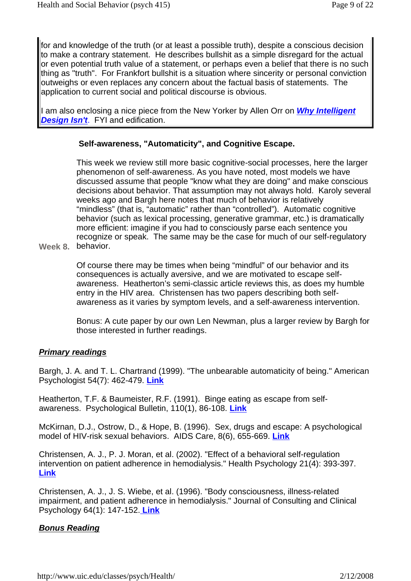for and knowledge of the truth (or at least a possible truth), despite a conscious decision to make a contrary statement. He describes bullshit as a simple disregard for the actual or even potential truth value of a statement, or perhaps even a belief that there is no such thing as "truth". For Frankfort bullshit is a situation where sincerity or personal conviction outweighs or even replaces any concern about the factual basis of statements. The application to current social and political discourse is obvious.

I am also enclosing a nice piece from the New Yorker by Allen Orr on **Why Intelligent Design Isn't.** FYI and edification.

## **Self-awareness, "Automaticity", and Cognitive Escape.**

This week we review still more basic cognitive-social processes, here the larger phenomenon of self-awareness. As you have noted, most models we have discussed assume that people "know what they are doing" and make conscious decisions about behavior. That assumption may not always hold. Karoly several weeks ago and Bargh here notes that much of behavior is relatively "mindless" (that is, "automatic" rather than "controlled"). Automatic cognitive behavior (such as lexical processing, generative grammar, etc.) is dramatically more efficient: imagine if you had to consciously parse each sentence you recognize or speak. The same may be the case for much of our self-regulatory

**Week 8.**  behavior.

Of course there may be times when being "mindful" of our behavior and its consequences is actually aversive, and we are motivated to escape selfawareness. Heatherton's semi-classic article reviews this, as does my humble entry in the HIV area. Christensen has two papers describing both selfawareness as it varies by symptom levels, and a self-awareness intervention.

Bonus: A cute paper by our own Len Newman, plus a larger review by Bargh for those interested in further readings.

#### **Primary readings**

Bargh, J. A. and T. L. Chartrand (1999). "The unbearable automaticity of being." American Psychologist 54(7): 462-479. **Link**

Heatherton, T.F. & Baumeister, R.F. (1991). Binge eating as escape from selfawareness. Psychological Bulletin, 110(1), 86-108. **Link**

McKirnan, D.J., Ostrow, D., & Hope, B. (1996). Sex, drugs and escape: A psychological model of HIV-risk sexual behaviors. AIDS Care, 8(6), 655-669. **Link**

Christensen, A. J., P. J. Moran, et al. (2002). "Effect of a behavioral self-regulation intervention on patient adherence in hemodialysis." Health Psychology 21(4): 393-397. **Link**

Christensen, A. J., J. S. Wiebe, et al. (1996). "Body consciousness, illness-related impairment, and patient adherence in hemodialysis." Journal of Consulting and Clinical Psychology 64(1): 147-152. **Link**

## **Bonus Reading**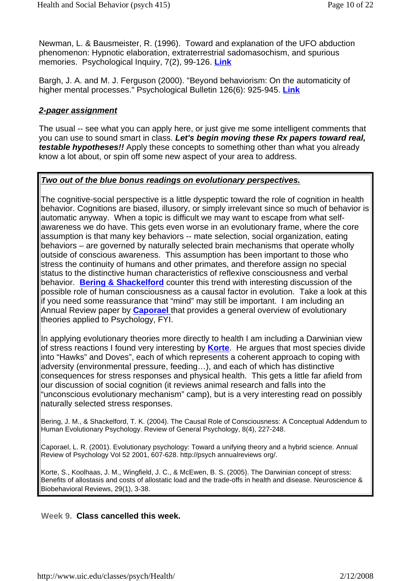Newman, L. & Bausmeister, R. (1996). Toward and explanation of the UFO abduction phenomenon: Hypnotic elaboration, extraterrestrial sadomasochism, and spurious memories. Psychological Inquiry, 7(2), 99-126. **Link**

Bargh, J. A. and M. J. Ferguson (2000). "Beyond behaviorism: On the automaticity of higher mental processes." Psychological Bulletin 126(6): 925-945. **Link**

#### **2-pager assignment**

The usual -- see what you can apply here, or just give me some intelligent comments that you can use to sound smart in class. **Let's begin moving these Rx papers toward real, testable hypotheses!!** Apply these concepts to something other than what you already know a lot about, or spin off some new aspect of your area to address.

## **Two out of the blue bonus readings on evolutionary perspectives.**

The cognitive-social perspective is a little dyspeptic toward the role of cognition in health behavior. Cognitions are biased, illusory, or simply irrelevant since so much of behavior is automatic anyway. When a topic is difficult we may want to escape from what selfawareness we do have. This gets even worse in an evolutionary frame, where the core assumption is that many key behaviors -- mate selection, social organization, eating behaviors – are governed by naturally selected brain mechanisms that operate wholly outside of conscious awareness. This assumption has been important to those who stress the continuity of humans and other primates, and therefore assign no special status to the distinctive human characteristics of reflexive consciousness and verbal behavior. **Bering & Shackelford** counter this trend with interesting discussion of the possible role of human consciousness as a causal factor in evolution. Take a look at this if you need some reassurance that "mind" may still be important. I am including an Annual Review paper by **Caporael** that provides a general overview of evolutionary theories applied to Psychology, FYI.

In applying evolutionary theories more directly to health I am including a Darwinian view of stress reactions I found very interesting by **Korte**. He argues that most species divide into "Hawks" and Doves", each of which represents a coherent approach to coping with adversity (environmental pressure, feeding…), and each of which has distinctive consequences for stress responses and physical health. This gets a little far afield from our discussion of social cognition (it reviews animal research and falls into the "unconscious evolutionary mechanism" camp), but is a very interesting read on possibly naturally selected stress responses.

Bering, J. M., & Shackelford, T. K. (2004). The Causal Role of Consciousness: A Conceptual Addendum to Human Evolutionary Psychology. Review of General Psychology, 8(4), 227-248.

Caporael, L. R. (2001). Evolutionary psychology: Toward a unifying theory and a hybrid science. Annual Review of Psychology Vol 52 2001, 607-628. http://psych annualreviews org/.

Korte, S., Koolhaas, J. M., Wingfield, J. C., & McEwen, B. S. (2005). The Darwinian concept of stress: Benefits of allostasis and costs of allostatic load and the trade-offs in health and disease. Neuroscience & Biobehavioral Reviews, 29(1), 3-38.

#### **Week 9. Class cancelled this week.**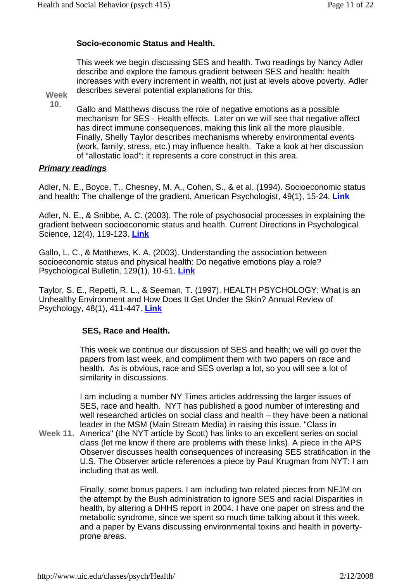## **Socio-economic Status and Health.**

This week we begin discussing SES and health. Two readings by Nancy Adler describe and explore the famous gradient between SES and health: health increases with every increment in wealth, not just at levels above poverty. Adler describes several potential explanations for this.

**Week 10**.

Gallo and Matthews discuss the role of negative emotions as a possible mechanism for SES - Health effects. Later on we will see that negative affect has direct immune consequences, making this link all the more plausible. Finally, Shelly Taylor describes mechanisms whereby environmental events (work, family, stress, etc.) may influence health. Take a look at her discussion of "allostatic load": it represents a core construct in this area.

## **Primary readings**

Adler, N. E., Boyce, T., Chesney, M. A., Cohen, S., & et al. (1994). Socioeconomic status and health: The challenge of the gradient. American Psychologist, 49(1), 15-24. **Link**

Adler, N. E., & Snibbe, A. C. (2003). The role of psychosocial processes in explaining the gradient between socioeconomic status and health. Current Directions in Psychological Science, 12(4), 119-123. **Link**

Gallo, L. C., & Matthews, K. A. (2003). Understanding the association between socioeconomic status and physical health: Do negative emotions play a role? Psychological Bulletin, 129(1), 10-51. **Link**

Taylor, S. E., Repetti, R. L., & Seeman, T. (1997). HEALTH PSYCHOLOGY: What is an Unhealthy Environment and How Does It Get Under the Skin? Annual Review of Psychology, 48(1), 411-447. **Link**

## **SES, Race and Health.**

This week we continue our discussion of SES and health; we will go over the papers from last week, and compliment them with two papers on race and health. As is obvious, race and SES overlap a lot, so you will see a lot of similarity in discussions.

I am including a number NY Times articles addressing the larger issues of SES, race and health. NYT has published a good number of interesting and well researched articles on social class and health – they have been a national leader in the MSM (Main Stream Media) in raising this issue. "Class in

**Week 11.** America" (the NYT article by Scott) has links to an excellent series on social class (let me know if there are problems with these links). A piece in the APS Observer discusses health consequences of increasing SES stratification in the U.S. The Observer article references a piece by Paul Krugman from NYT: I am including that as well.

> Finally, some bonus papers. I am including two related pieces from NEJM on the attempt by the Bush administration to ignore SES and racial Disparities in health, by altering a DHHS report in 2004. I have one paper on stress and the metabolic syndrome, since we spent so much time talking about it this week, and a paper by Evans discussing environmental toxins and health in povertyprone areas.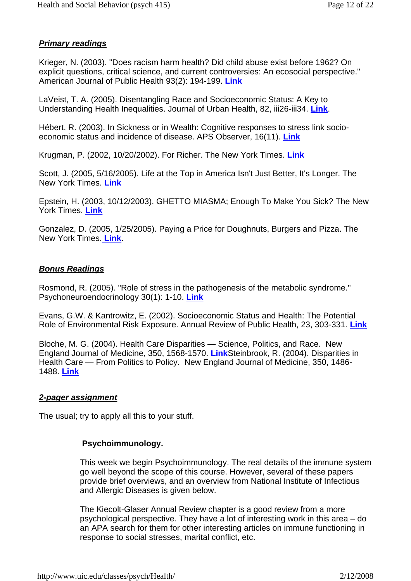## **Primary readings**

Krieger, N. (2003). "Does racism harm health? Did child abuse exist before 1962? On explicit questions, critical science, and current controversies: An ecosocial perspective." American Journal of Public Health 93(2): 194-199. **Link**

LaVeist, T. A. (2005). Disentangling Race and Socioeconomic Status: A Key to Understanding Health Inequalities. Journal of Urban Health, 82, iii26-iii34. **Link**.

Hébert, R. (2003). In Sickness or in Wealth: Cognitive responses to stress link socioeconomic status and incidence of disease. APS Observer, 16(11). **Link**

Krugman, P. (2002, 10/20/2002). For Richer. The New York Times. **Link**

Scott, J. (2005, 5/16/2005). Life at the Top in America Isn't Just Better, It's Longer. The New York Times. **Link**

Epstein, H. (2003, 10/12/2003). GHETTO MIASMA; Enough To Make You Sick? The New York Times. **Link**

Gonzalez, D. (2005, 1/25/2005). Paying a Price for Doughnuts, Burgers and Pizza. The New York Times. **Link**.

#### **Bonus Readings**

Rosmond, R. (2005). "Role of stress in the pathogenesis of the metabolic syndrome." Psychoneuroendocrinology 30(1): 1-10. **Link**

Evans, G.W. & Kantrowitz, E. (2002). Socioeconomic Status and Health: The Potential Role of Environmental Risk Exposure. Annual Review of Public Health, 23, 303-331. **Link**

Bloche, M. G. (2004). Health Care Disparities — Science, Politics, and Race. New England Journal of Medicine, 350, 1568-1570. **Link**Steinbrook, R. (2004). Disparities in Health Care — From Politics to Policy. New England Journal of Medicine, 350, 1486- 1488. **Link**

#### **2-pager assignment**

The usual; try to apply all this to your stuff.

## **Psychoimmunology.**

This week we begin Psychoimmunology. The real details of the immune system go well beyond the scope of this course. However, several of these papers provide brief overviews, and an overview from National Institute of Infectious and Allergic Diseases is given below.

The Kiecolt-Glaser Annual Review chapter is a good review from a more psychological perspective. They have a lot of interesting work in this area – do an APA search for them for other interesting articles on immune functioning in response to social stresses, marital conflict, etc.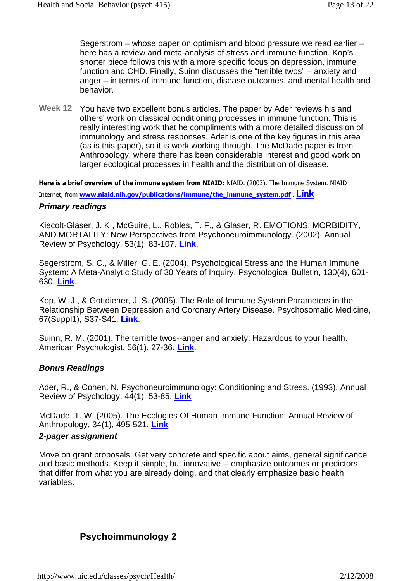Segerstrom – whose paper on optimism and blood pressure we read earlier – here has a review and meta-analysis of stress and immune function. Kop's shorter piece follows this with a more specific focus on depression, immune function and CHD. Finally, Suinn discusses the "terrible twos" – anxiety and anger – in terms of immune function, disease outcomes, and mental health and behavior.

Week 12 You have two excellent bonus articles. The paper by Ader reviews his and others' work on classical conditioning processes in immune function. This is really interesting work that he compliments with a more detailed discussion of immunology and stress responses. Ader is one of the key figures in this area (as is this paper), so it is work working through. The McDade paper is from Anthropology, where there has been considerable interest and good work on larger ecological processes in health and the distribution of disease.

**Here is a brief overview of the immune system from NIAID:** NIAID. (2003). The Immune System. NIAID Internet, from **www.niaid.nih.gov/publications/immune/the\_immune\_system.pdf** . **Link Primary readings**

Kiecolt-Glaser, J. K., McGuire, L., Robles, T. F., & Glaser, R. EMOTIONS, MORBIDITY, AND MORTALITY: New Perspectives from Psychoneuroimmunology. (2002). Annual Review of Psychology, 53(1), 83-107. **Link**.

Segerstrom, S. C., & Miller, G. E. (2004). Psychological Stress and the Human Immune System: A Meta-Analytic Study of 30 Years of Inquiry. Psychological Bulletin, 130(4), 601- 630. **Link**.

Kop, W. J., & Gottdiener, J. S. (2005). The Role of Immune System Parameters in the Relationship Between Depression and Coronary Artery Disease. Psychosomatic Medicine, 67(Suppl1), S37-S41. **Link**.

Suinn, R. M. (2001). The terrible twos--anger and anxiety: Hazardous to your health. American Psychologist, 56(1), 27-36. **Link**.

#### **Bonus Readings**

Ader, R., & Cohen, N. Psychoneuroimmunology: Conditioning and Stress. (1993). Annual Review of Psychology, 44(1), 53-85. **Link**

McDade, T. W. (2005). The Ecologies Of Human Immune Function. Annual Review of Anthropology, 34(1), 495-521. **Link**

#### **2-pager assignment**

Move on grant proposals. Get very concrete and specific about aims, general significance and basic methods. Keep it simple, but innovative -- emphasize outcomes or predictors that differ from what you are already doing, and that clearly emphasize basic health variables.

## **Psychoimmunology 2**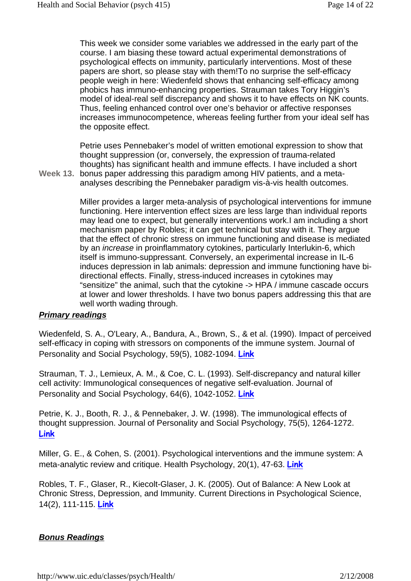This week we consider some variables we addressed in the early part of the course. I am biasing these toward actual experimental demonstrations of psychological effects on immunity, particularly interventions. Most of these papers are short, so please stay with them!To no surprise the self-efficacy people weigh in here: Wiedenfeld shows that enhancing self-efficacy among phobics has immuno-enhancing properties. Strauman takes Tory Higgin's model of ideal-real self discrepancy and shows it to have effects on NK counts. Thus, feeling enhanced control over one's behavior or affective responses increases immunocompetence, whereas feeling further from your ideal self has the opposite effect.

Petrie uses Pennebaker's model of written emotional expression to show that thought suppression (or, conversely, the expression of trauma-related thoughts) has significant health and immune effects. I have included a short

**Week 13.**  bonus paper addressing this paradigm among HIV patients, and a metaanalyses describing the Pennebaker paradigm vis-à-vis health outcomes.

> Miller provides a larger meta-analysis of psychological interventions for immune functioning. Here intervention effect sizes are less large than individual reports may lead one to expect, but generally interventions work.I am including a short mechanism paper by Robles; it can get technical but stay with it. They argue that the effect of chronic stress on immune functioning and disease is mediated by an increase in proinflammatory cytokines, particularly Interlukin-6, which itself is immuno-suppressant. Conversely, an experimental increase in IL-6 induces depression in lab animals: depression and immune functioning have bidirectional effects. Finally, stress-induced increases in cytokines may "sensitize" the animal, such that the cytokine -> HPA / immune cascade occurs at lower and lower thresholds. I have two bonus papers addressing this that are well worth wading through.

## **Primary readings**

Wiedenfeld, S. A., O'Leary, A., Bandura, A., Brown, S., & et al. (1990). Impact of perceived self-efficacy in coping with stressors on components of the immune system. Journal of Personality and Social Psychology, 59(5), 1082-1094. **Link**

Strauman, T. J., Lemieux, A. M., & Coe, C. L. (1993). Self-discrepancy and natural killer cell activity: Immunological consequences of negative self-evaluation. Journal of Personality and Social Psychology, 64(6), 1042-1052. **Link**

Petrie, K. J., Booth, R. J., & Pennebaker, J. W. (1998). The immunological effects of thought suppression. Journal of Personality and Social Psychology, 75(5), 1264-1272. **Link**

Miller, G. E., & Cohen, S. (2001). Psychological interventions and the immune system: A meta-analytic review and critique. Health Psychology, 20(1), 47-63. **Link**

Robles, T. F., Glaser, R., Kiecolt-Glaser, J. K. (2005). Out of Balance: A New Look at Chronic Stress, Depression, and Immunity. Current Directions in Psychological Science, 14(2), 111-115. **Link**

## **Bonus Readings**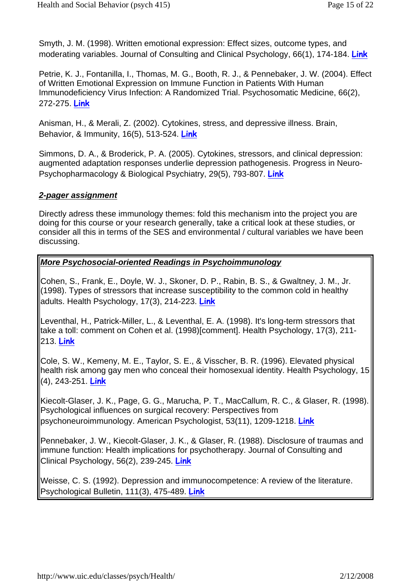Smyth, J. M. (1998). Written emotional expression: Effect sizes, outcome types, and moderating variables. Journal of Consulting and Clinical Psychology, 66(1), 174-184. **Link**

Petrie, K. J., Fontanilla, I., Thomas, M. G., Booth, R. J., & Pennebaker, J. W. (2004). Effect of Written Emotional Expression on Immune Function in Patients With Human Immunodeficiency Virus Infection: A Randomized Trial. Psychosomatic Medicine, 66(2), 272-275. **Link**

Anisman, H., & Merali, Z. (2002). Cytokines, stress, and depressive illness. Brain, Behavior, & Immunity, 16(5), 513-524. **Link**

Simmons, D. A., & Broderick, P. A. (2005). Cytokines, stressors, and clinical depression: augmented adaptation responses underlie depression pathogenesis. Progress in Neuro-Psychopharmacology & Biological Psychiatry, 29(5), 793-807. **Link**

## **2-pager assignment**

Directly adress these immunology themes: fold this mechanism into the project you are doing for this course or your research generally, take a critical look at these studies, or consider all this in terms of the SES and environmental / cultural variables we have been discussing.

## **More Psychosocial-oriented Readings in Psychoimmunology**

Cohen, S., Frank, E., Doyle, W. J., Skoner, D. P., Rabin, B. S., & Gwaltney, J. M., Jr. (1998). Types of stressors that increase susceptibility to the common cold in healthy adults. Health Psychology, 17(3), 214-223. **Link**

Leventhal, H., Patrick-Miller, L., & Leventhal, E. A. (1998). It's long-term stressors that take a toll: comment on Cohen et al. (1998)[comment]. Health Psychology, 17(3), 211- 213. **Link**

Cole, S. W., Kemeny, M. E., Taylor, S. E., & Visscher, B. R. (1996). Elevated physical health risk among gay men who conceal their homosexual identity. Health Psychology, 15 (4), 243-251. **Link**

Kiecolt-Glaser, J. K., Page, G. G., Marucha, P. T., MacCallum, R. C., & Glaser, R. (1998). Psychological influences on surgical recovery: Perspectives from psychoneuroimmunology. American Psychologist, 53(11), 1209-1218. **Link**

Pennebaker, J. W., Kiecolt-Glaser, J. K., & Glaser, R. (1988). Disclosure of traumas and immune function: Health implications for psychotherapy. Journal of Consulting and Clinical Psychology, 56(2), 239-245. **Link**

Weisse, C. S. (1992). Depression and immunocompetence: A review of the literature. Psychological Bulletin, 111(3), 475-489. **Link**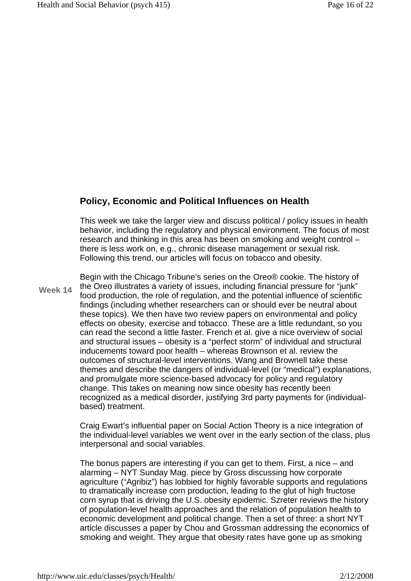## **Policy, Economic and Political Influences on Health**

This week we take the larger view and discuss political / policy issues in health behavior, including the regulatory and physical environment. The focus of most research and thinking in this area has been on smoking and weight control – there is less work on, e.g., chronic disease management or sexual risk. Following this trend, our articles will focus on tobacco and obesity.

**Week 14** Begin with the Chicago Tribune's series on the Oreo® cookie. The history of the Oreo illustrates a variety of issues, including financial pressure for "junk" food production, the role of regulation, and the potential influence of scientific findings (including whether researchers can or should ever be neutral about these topics). We then have two review papers on environmental and policy effects on obesity, exercise and tobacco. These are a little redundant, so you can read the second a little faster. French et al. give a nice overview of social and structural issues – obesity is a "perfect storm" of individual and structural inducements toward poor health – whereas Brownson et al. review the outcomes of structural-level interventions. Wang and Brownell take these themes and describe the dangers of individual-level (or "medical") explanations, and promulgate more science-based advocacy for policy and regulatory change. This takes on meaning now since obesity has recently been recognized as a medical disorder, justifying 3rd party payments for (individualbased) treatment.

> Craig Ewart's influential paper on Social Action Theory is a nice integration of the individual-level variables we went over in the early section of the class, plus interpersonal and social variables.

> The bonus papers are interesting if you can get to them. First, a nice – and alarming – NYT Sunday Mag. piece by Gross discussing how corporate agriculture ("Agribiz") has lobbied for highly favorable supports and regulations to dramatically increase corn production, leading to the glut of high fructose corn syrup that is driving the U.S. obesity epidemic. Szreter reviews the history of population-level health approaches and the relation of population health to economic development and political change. Then a set of three: a short NYT article discusses a paper by Chou and Grossman addressing the economics of smoking and weight. They argue that obesity rates have gone up as smoking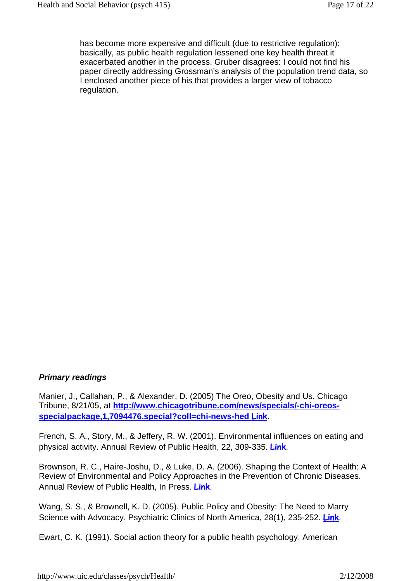has become more expensive and difficult (due to restrictive regulation): basically, as public health regulation lessened one key health threat it exacerbated another in the process. Gruber disagrees: I could not find his paper directly addressing Grossman's analysis of the population trend data, so I enclosed another piece of his that provides a larger view of tobacco regulation.

## **Primary readings**

Manier, J., Callahan, P., & Alexander, D. (2005) The Oreo, Obesity and Us. Chicago Tribune, 8/21/05, at **http://www.chicagotribune.com/news/specials/-chi-oreosspecialpackage,1,7094476.special?coll=chi-news-hed Link**.

French, S. A., Story, M., & Jeffery, R. W. (2001). Environmental influences on eating and physical activity. Annual Review of Public Health, 22, 309-335. **Link**.

Brownson, R. C., Haire-Joshu, D., & Luke, D. A. (2006). Shaping the Context of Health: A Review of Environmental and Policy Approaches in the Prevention of Chronic Diseases. Annual Review of Public Health, In Press. **Link**.

Wang, S. S., & Brownell, K. D. (2005). Public Policy and Obesity: The Need to Marry Science with Advocacy. Psychiatric Clinics of North America, 28(1), 235-252. **Link**.

Ewart, C. K. (1991). Social action theory for a public health psychology. American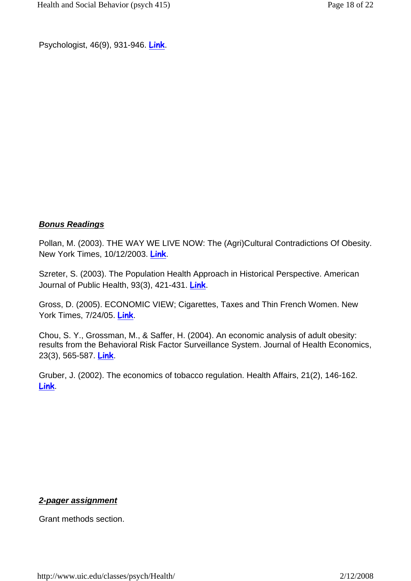Psychologist, 46(9), 931-946. **Link**.

## **Bonus Readings**

Pollan, M. (2003). THE WAY WE LIVE NOW: The (Agri)Cultural Contradictions Of Obesity. New York Times, 10/12/2003. **Link**.

Szreter, S. (2003). The Population Health Approach in Historical Perspective. American Journal of Public Health, 93(3), 421-431. **Link**.

Gross, D. (2005). ECONOMIC VIEW; Cigarettes, Taxes and Thin French Women. New York Times, 7/24/05. **Link**.

Chou, S. Y., Grossman, M., & Saffer, H. (2004). An economic analysis of adult obesity: results from the Behavioral Risk Factor Surveillance System. Journal of Health Economics, 23(3), 565-587. **Link**.

Gruber, J. (2002). The economics of tobacco regulation. Health Affairs, 21(2), 146-162. **Link**.

## **2-pager assignment**

Grant methods section.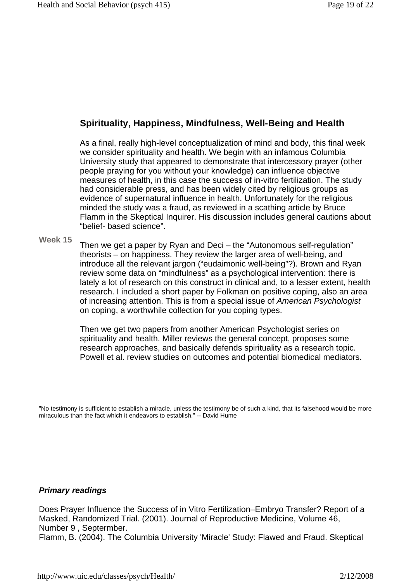## **Spirituality, Happiness, Mindfulness, Well-Being and Health**

As a final, really high-level conceptualization of mind and body, this final week we consider spirituality and health. We begin with an infamous Columbia University study that appeared to demonstrate that intercessory prayer (other people praying for you without your knowledge) can influence objective measures of health, in this case the success of in-vitro fertilization. The study had considerable press, and has been widely cited by religious groups as evidence of supernatural influence in health. Unfortunately for the religious minded the study was a fraud, as reviewed in a scathing article by Bruce Flamm in the Skeptical Inquirer. His discussion includes general cautions about "belief- based science".

**Week 15**

Then we get a paper by Ryan and Deci – the "Autonomous self-regulation" theorists – on happiness. They review the larger area of well-being, and introduce all the relevant jargon ("eudaimonic well-being"?). Brown and Ryan review some data on "mindfulness" as a psychological intervention: there is lately a lot of research on this construct in clinical and, to a lesser extent, health research. I included a short paper by Folkman on positive coping, also an area of increasing attention. This is from a special issue of American Psychologist on coping, a worthwhile collection for you coping types.

Then we get two papers from another American Psychologist series on spirituality and health. Miller reviews the general concept, proposes some research approaches, and basically defends spirituality as a research topic. Powell et al. review studies on outcomes and potential biomedical mediators.

"No testimony is sufficient to establish a miracle, unless the testimony be of such a kind, that its falsehood would be more miraculous than the fact which it endeavors to establish." -- David Hume

#### **Primary readings**

Does Prayer Influence the Success of in Vitro Fertilization–Embryo Transfer? Report of a Masked, Randomized Trial. (2001). Journal of Reproductive Medicine, Volume 46, Number 9 , Septermber.

Flamm, B. (2004). The Columbia University 'Miracle' Study: Flawed and Fraud. Skeptical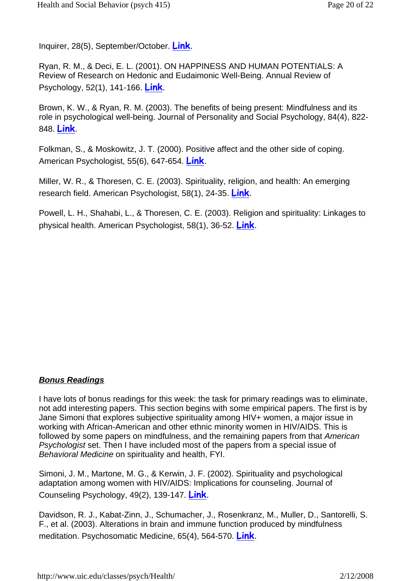Inquirer, 28(5), September/October. **Link**.

Ryan, R. M., & Deci, E. L. (2001). ON HAPPINESS AND HUMAN POTENTIALS: A Review of Research on Hedonic and Eudaimonic Well-Being. Annual Review of Psychology, 52(1), 141-166. **Link**.

Brown, K. W., & Ryan, R. M. (2003). The benefits of being present: Mindfulness and its role in psychological well-being. Journal of Personality and Social Psychology, 84(4), 822- 848. **Link**.

Folkman, S., & Moskowitz, J. T. (2000). Positive affect and the other side of coping. American Psychologist, 55(6), 647-654. **Link**.

Miller, W. R., & Thoresen, C. E. (2003). Spirituality, religion, and health: An emerging research field. American Psychologist, 58(1), 24-35. **Link**.

Powell, L. H., Shahabi, L., & Thoresen, C. E. (2003). Religion and spirituality: Linkages to physical health. American Psychologist, 58(1), 36-52. **Link**.

## **Bonus Readings**

I have lots of bonus readings for this week: the task for primary readings was to eliminate, not add interesting papers. This section begins with some empirical papers. The first is by Jane Simoni that explores subjective spirituality among HIV+ women, a major issue in working with African-American and other ethnic minority women in HIV/AIDS. This is followed by some papers on mindfulness, and the remaining papers from that American Psychologist set. Then I have included most of the papers from a special issue of Behavioral Medicine on spirituality and health, FYI.

Simoni, J. M., Martone, M. G., & Kerwin, J. F. (2002). Spirituality and psychological adaptation among women with HIV/AIDS: Implications for counseling. Journal of Counseling Psychology, 49(2), 139-147. **Link**.

Davidson, R. J., Kabat-Zinn, J., Schumacher, J., Rosenkranz, M., Muller, D., Santorelli, S. F., et al. (2003). Alterations in brain and immune function produced by mindfulness meditation. Psychosomatic Medicine, 65(4), 564-570. **Link**.